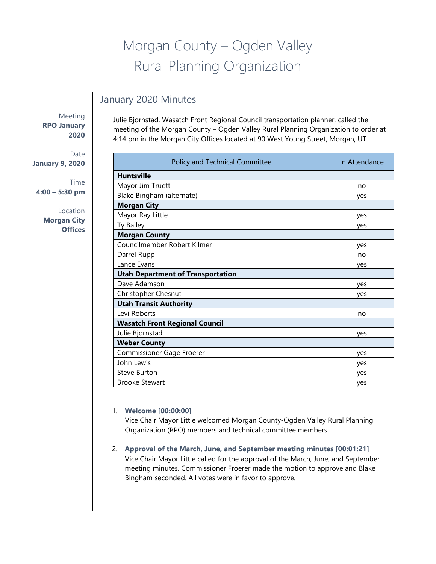# Morgan County – Ogden Valley Rural Planning Organization

# January 2020 Minutes

Meeting **RPO January 2020**

Date **January 9, 2020**

Time **4:00 – 5:30 pm**

> Location **Morgan City Offices**

Julie Bjornstad, Wasatch Front Regional Council transportation planner, called the meeting of the Morgan County – Ogden Valley Rural Planning Organization to order at 4:14 pm in the Morgan City Offices located at 90 West Young Street, Morgan, UT.

| Policy and Technical Committee           | In Attendance |
|------------------------------------------|---------------|
| <b>Huntsville</b>                        |               |
| Mayor Jim Truett                         | no            |
| Blake Bingham (alternate)                | yes           |
| <b>Morgan City</b>                       |               |
| Mayor Ray Little                         | yes           |
| Ty Bailey                                | yes           |
| <b>Morgan County</b>                     |               |
| Councilmember Robert Kilmer              | yes           |
| Darrel Rupp                              | no            |
| Lance Evans                              | ves           |
| <b>Utah Department of Transportation</b> |               |
| Dave Adamson                             | yes           |
| Christopher Chesnut                      | yes           |
| <b>Utah Transit Authority</b>            |               |
| Levi Roberts                             | no            |
| <b>Wasatch Front Regional Council</b>    |               |
| Julie Bjornstad                          | yes           |
| <b>Weber County</b>                      |               |
| Commissioner Gage Froerer                | yes           |
| John Lewis                               | yes           |
| <b>Steve Burton</b>                      | yes           |
| <b>Brooke Stewart</b>                    | yes           |

### 1. **Welcome [00:00:00]**

Vice Chair Mayor Little welcomed Morgan County-Ogden Valley Rural Planning Organization (RPO) members and technical committee members.

2. **Approval of the March, June, and September meeting minutes [00:01:21]** Vice Chair Mayor Little called for the approval of the March, June, and September meeting minutes. Commissioner Froerer made the motion to approve and Blake Bingham seconded. All votes were in favor to approve.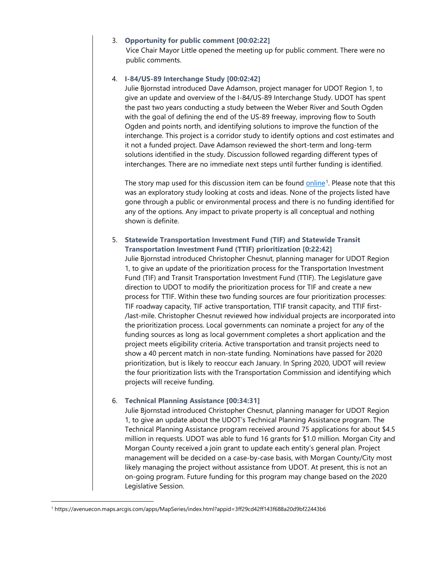#### 3. **Opportunity for public comment [00:02:22]**

Vice Chair Mayor Little opened the meeting up for public comment. There were no public comments.

#### 4. **I-84/US-89 Interchange Study [00:02:42]**

Julie Bjornstad introduced Dave Adamson, project manager for UDOT Region 1, to give an update and overview of the I-84/US-89 Interchange Study. UDOT has spent the past two years conducting a study between the Weber River and South Ogden with the goal of defining the end of the US-89 freeway, improving flow to South Ogden and points north, and identifying solutions to improve the function of the interchange. This project is a corridor study to identify options and cost estimates and it not a funded project. Dave Adamson reviewed the short-term and long-term solutions identified in the study. Discussion followed regarding different types of interchanges. There are no immediate next steps until further funding is identified.

The story map used for this discussion item can be found [online](https://avenuecon.maps.arcgis.com/apps/MapSeries/index.html?appid=3ff29cd42ff143f688a20d9bf22443b6)<sup>[1](#page-1-0)</sup>. Please note that this was an exploratory study looking at costs and ideas. None of the projects listed have gone through a public or environmental process and there is no funding identified for any of the options. Any impact to private property is all conceptual and nothing shown is definite.

# 5. **Statewide Transportation Investment Fund (TIF) and Statewide Transit Transportation Investment Fund (TTIF) prioritization [0:22:42]**

Julie Bjornstad introduced Christopher Chesnut, planning manager for UDOT Region 1, to give an update of the prioritization process for the Transportation Investment Fund (TIF) and Transit Transportation Investment Fund (TTIF). The Legislature gave direction to UDOT to modify the prioritization process for TIF and create a new process for TTIF. Within these two funding sources are four prioritization processes: TIF roadway capacity, TIF active transportation, TTIF transit capacity, and TTIF first- /last-mile. Christopher Chesnut reviewed how individual projects are incorporated into the prioritization process. Local governments can nominate a project for any of the funding sources as long as local government completes a short application and the project meets eligibility criteria. Active transportation and transit projects need to show a 40 percent match in non-state funding. Nominations have passed for 2020 prioritization, but is likely to reoccur each January. In Spring 2020, UDOT will review the four prioritization lists with the Transportation Commission and identifying which projects will receive funding.

#### 6. **Technical Planning Assistance [00:34:31]**

Julie Bjornstad introduced Christopher Chesnut, planning manager for UDOT Region 1, to give an update about the UDOT's Technical Planning Assistance program. The Technical Planning Assistance program received around 75 applications for about \$4.5 million in requests. UDOT was able to fund 16 grants for \$1.0 million. Morgan City and Morgan County received a join grant to update each entity's general plan. Project management will be decided on a case-by-case basis, with Morgan County/City most likely managing the project without assistance from UDOT. At present, this is not an on-going program. Future funding for this program may change based on the 2020 Legislative Session.

<span id="page-1-0"></span><sup>1</sup> https://avenuecon.maps.arcgis.com/apps/MapSeries/index.html?appid=3ff29cd42ff143f688a20d9bf22443b6